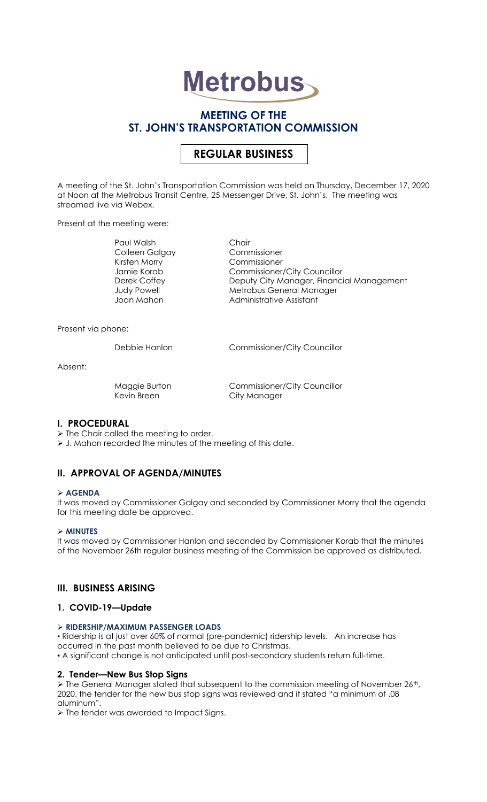# **Metrobus**

## **MEETING OF THE ST. JOHN'S TRANSPORTATION COMMISSION**

## **REGULAR BUSINESS**

A meeting of the St. John's Transportation Commission was held on Thursday, December 17, 2020 at Noon at the Metrobus Transit Centre, 25 Messenger Drive, St. John's. The meeting was streamed live via Webex.

Present at the meeting were:

Paul Walsh Chair<br>Colleen Galgay Commissioner Colleen Galgay Kirsten Morry Commissioner

Jamie Korab Commissioner/City Councillor<br>Deputy City Manager, Financi Deputy City Manager, Financial Management Judy Powell Metrobus General Manager Joan Mahon **Administrative Assistant** 

Present via phone:

Debbie Hanlon Commissioner/City Councillor

Absent:

Kevin Breen City Manager

Maggie Burton Commissioner/City Councillor

## **I. PROCEDURAL**

➢ The Chair called the meeting to order.

➢ J. Mahon recorded the minutes of the meeting of this date.

## **II. APPROVAL OF AGENDA/MINUTES**

#### ➢ **AGENDA**

It was moved by Commissioner Galgay and seconded by Commissioner Morry that the agenda for this meeting date be approved.

#### ➢ **MINUTES**

It was moved by Commissioner Hanlon and seconded by Commissioner Korab that the minutes of the November 26th regular business meeting of the Commission be approved as distributed.

## **III. BUSINESS ARISING**

## **1. COVID-19—Update**

#### ➢ **RIDERSHIP/MAXIMUM PASSENGER LOADS**

▪ Ridership is at just over 60% of normal (pre-pandemic) ridership levels. An increase has occurred in the past month believed to be due to Christmas.

▪ A significant change is not anticipated until post-secondary students return full-time.

## **2. Tender—New Bus Stop Signs**

 $\triangleright$  The General Manager stated that subsequent to the commission meeting of November 26<sup>th</sup>, 2020, the tender for the new bus stop signs was reviewed and it stated "a minimum of .08 aluminum".

➢ The tender was awarded to Impact Signs.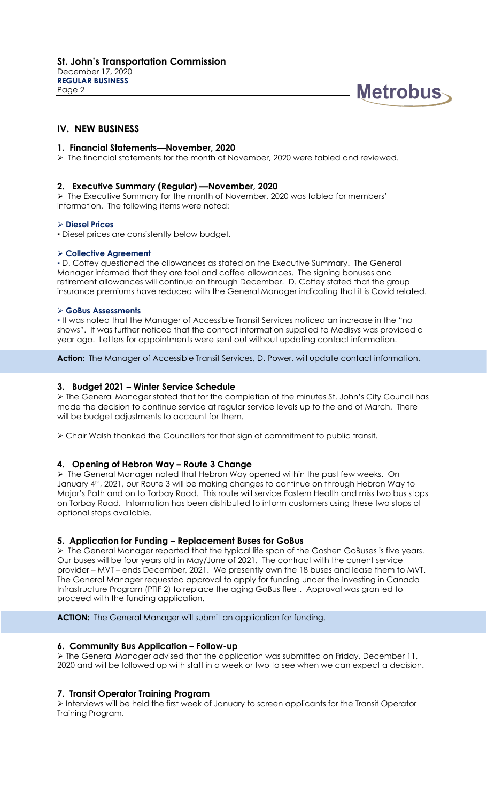

## **IV. NEW BUSINESS**

#### **1. Financial Statements—November, 2020**

➢ The financial statements for the month of November, 2020 were tabled and reviewed.

#### **2. Executive Summary (Regular) —November, 2020**

➢ The Executive Summary for the month of November, 2020 was tabled for members' information. The following items were noted:

#### ➢ **Diesel Prices**

▪ Diesel prices are consistently below budget.

#### ➢ **Collective Agreement**

**▪** D. Coffey questioned the allowances as stated on the Executive Summary. The General Manager informed that they are tool and coffee allowances. The signing bonuses and retirement allowances will continue on through December. D. Coffey stated that the group insurance premiums have reduced with the General Manager indicating that it is Covid related.

#### ➢ **GoBus Assessments**

**▪** It was noted that the Manager of Accessible Transit Services noticed an increase in the "no shows". It was further noticed that the contact information supplied to Medisys was provided a year ago. Letters for appointments were sent out without updating contact information.

**Action:** The Manager of Accessible Transit Services, D. Power, will update contact information.

#### **3. Budget 2021 – Winter Service Schedule**

➢ The General Manager stated that for the completion of the minutes St. John's City Council has made the decision to continue service at regular service levels up to the end of March. There will be budget adjustments to account for them.

➢ Chair Walsh thanked the Councillors for that sign of commitment to public transit.

#### **4. Opening of Hebron Way – Route 3 Change**

➢ The General Manager noted that Hebron Way opened within the past few weeks. On January 4<sup>th</sup>, 2021, our Route 3 will be making changes to continue on through Hebron Way to Major's Path and on to Torbay Road. This route will service Eastern Health and miss two bus stops on Torbay Road. Information has been distributed to inform customers using these two stops of optional stops available.

#### **5. Application for Funding – Replacement Buses for GoBus**

➢ The General Manager reported that the typical life span of the Goshen GoBuses is five years. Our buses will be four years old in May/June of 2021. The contract with the current service provider – MVT – ends December, 2021. We presently own the 18 buses and lease them to MVT. The General Manager requested approval to apply for funding under the Investing in Canada Infrastructure Program (PTIF 2) to replace the aging GoBus fleet. Approval was granted to proceed with the funding application.

**ACTION:** The General Manager will submit an application for funding.

#### **6. Community Bus Application – Follow-up**

➢ The General Manager advised that the application was submitted on Friday, December 11, 2020 and will be followed up with staff in a week or two to see when we can expect a decision.

#### **7. Transit Operator Training Program**

➢ Interviews will be held the first week of January to screen applicants for the Transit Operator Training Program.